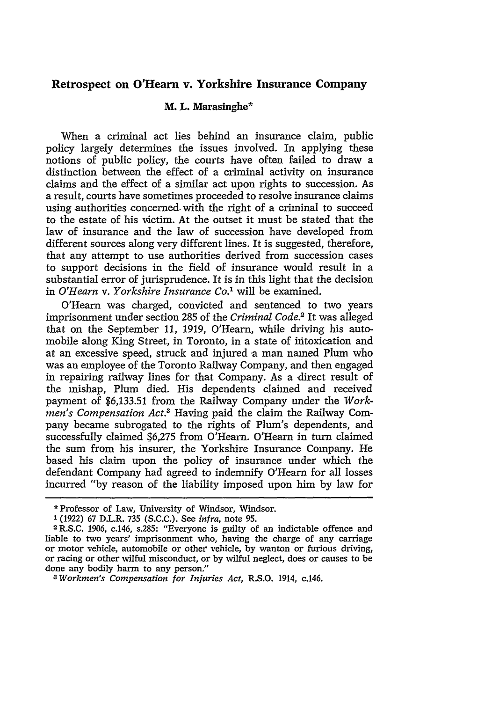# **Retrospect on O'Hearn v. Yorkshire Insurance Company**

### M. L. **Marasinghe\***

When a criminal act lies behind an insurance claim, public policy largely determines the issues involved. In applying these notions of public policy, the courts have often failed to draw a distinction between the effect of a criminal activity on insurance claims and the effect of a similar act upon rights to succession. As a result, courts have sometimes proceeded to resolve insurance claims using authorities concerned, with the right of a criminal to succeed to the estate of his victim. At the outset it must be stated that the law of insurance and the law of succession have developed from different sources along very different lines. It is suggested, therefore, that any attempt to use authorities derived from succession cases to support decisions in the field of insurance would result in a substantial error of jurisprudence. It is in this light that the decision in *O'Hearn v. Yorkshire Insurance Co."* will be examined.

O'Hearn was charged, convicted and sentenced to two years imprisonment under section 285 of the *Criminal Code.2* It was alleged that on the September 11, 1919, O'Hearn, while driving his automobile along King Street, in Toronto, in a state of intoxication and at an excessive speed, struck and injured a man named Plum who was an employee of the Toronto Railway Company, and then engaged in repairing railway lines for that Company. As a direct result of the mishap, Plum died. His dependents claimed and received payment of \$6,133.51 from the Railway Company under the *Workmen's Compensation Act.2* Having paid the claim the Railway Company became subrogated to the rights of Plum's dependents, and successfully claimed \$6,275 from O'Hearn. O'Hearn in turn claimed the sum from his insurer, the Yorkshire Insurance Company. He based his claim upon the policy of insurance under which the defendant Company had agreed to indemnify O'Hearn for all losses incurred "by reason of the liability imposed upon him by law for

<sup>\*</sup> Professor of Law, University of Windsor, Windsor.

**<sup>1</sup>**(1922) 67 D.L.R. 735 (S.C.C.). See *infra,* note 95. <sup>2</sup> R.S.C. 1906, c.146, s.285: "Everyone is guilty of an indictable offence and liable to two years' imprisonment who, having the charge of any carriage or motor vehicle, automobile or other vehicle, by wanton or furious driving, or racing or other wilful misconduct, or by wilful neglect, does or causes to be done any bodily harm to any person." *<sup>3</sup> Workmen's Compensation for Injuries Act,* R.S.O. 1914, c.146.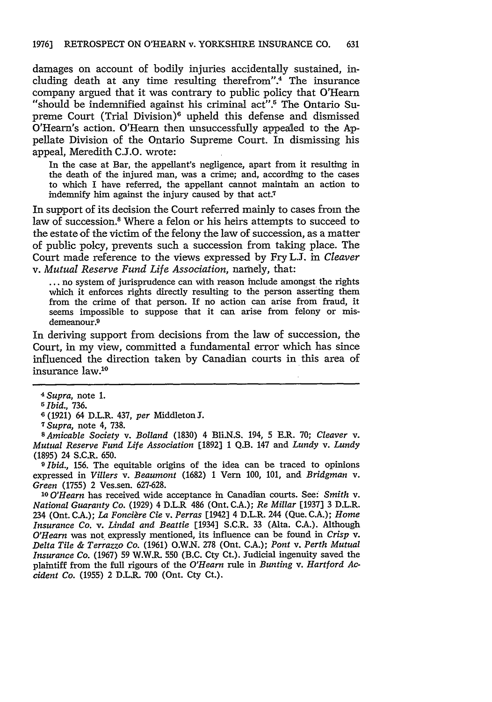damages on account of bodily injuries accidentally sustained, including death at any time resulting therefrom".<sup>4</sup> The insurance company argued that it was contrary to public policy that O'Hearn "should be indemnified against his criminal act".<sup>5</sup> The Ontario Supreme Court (Trial Division)<sup>6</sup> upheld this defense and dismissed O'Hearn's action. O'Hearn then unsuccessfully appealed to the **Ap**pellate Division of the Ontario Supreme Court. In dismissing his appeal, Meredith C.J.O. wrote:

In the case at Bar, the appellant's negligence, apart from it resulting in the death of the injured man, was a crime; and, according to the cases to which I have referred, the appellant cannot maintain an action to indemnify him against the injury caused by that act.7

In support of its decision the Court referred mainly to cases from the law of succession.8 Where a felon or his heirs attempts to succeed to the estate of the victim of the felony the law of succession, as a matter of public polcy, prevents such a succession from taking place. The Court made reference to the views expressed by Fry **LJ.** in *Cleaver* v. *Mutual Reserve Fund Life Association,* namely, that:

... no system of jurisprudence can with reason include amongst the rights which it enforces rights directly resulting to the person asserting them from the crime of that person. If no action can arise from fraud, it seems impossible to suppose that it can arise from felony or misdemeanour.<sup>9</sup>

In deriving support from decisions from the law of succession, the Court, in my view, committed a fundamental error which has since influenced the direction taken by Canadian courts in this area of insurance law.'

**9** *Ibid.,* 156. The equitable origins of the idea can be traced to opinions expressed in *Villers v. Beaumont* (1682) **1** Vern 100, 101, and *Bridgman v. Green* (1755) 2 Ves.sen. 627-628.

*0 O'Hearn* has received wide acceptance in Canadian courts. See: *Smith v. National Guaranty Co.* (1929) 4 D.L.R 486 (Ont. C.A.); *Re Millar* [1937] 3 D.L.R. 234 (Ont. CA.); *La Foncigre Cie v. Perras* [1942] 4 D.L.R. 244 (Que. C.A.); *Home Insurance Co. v. Lindal and Beattie* [1934] S.C.R. 33 (Alta. C.A.). Although *O'Hearn* was not expressly mentioned, its influence can be found in *Crisp v. Delta Tile & Terrazzo Co.* (1961) O.W.N. 278 (Ont. CA.); *Pont v. Perth Mutual Insurance Co.* (1967) 59 W.W.R. 550 (B.C. Cty Ct.). Judicial ingenuity saved the plaintiff from the full rigours of the *O'Hearn* rule in *Bunting v. Hartford Accident Co.* (1955) 2 D.L.R. 700 (Ont. Cty Ct.).

*<sup>4</sup> Supra,* note **1.**

<sup>5</sup> *Ibid.,* 736.

**<sup>6</sup>**(1921) 64 D.L.R. 437, *per* Middleton **J.**

**<sup>7</sup>** *Supra,* note 4, 738.

*SAmicable Society v. Bolland* (1830) 4 Bli.N.S. 194, 5 E.R. 70; *Cleaver* v. *Mutual Reserve Fund Life Association* [1892] **1** Q.B. 147 and *Lundy v. Lundy* (1895) 24 S.C.R. 650.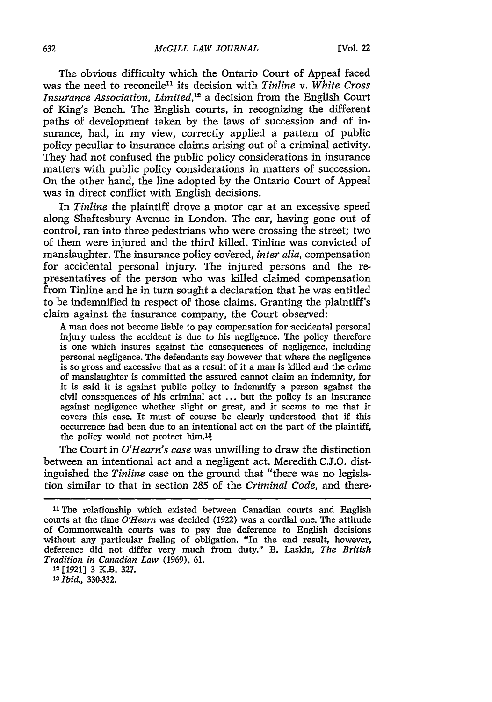The obvious difficulty which the Ontario Court of Appeal faced was the need to reconcile<sup>11</sup> its decision with *Tinline v. White Cross Insurance Association, Limited, <sup>2</sup>*a decision from the English Court of King's Bench. The English courts, in recognizing the different paths of development taken by the laws of succession and of insurance, had, in my view, correctly applied a pattern of public policy peculiar to insurance claims arising out of a criminal activity. They had not confused the public policy considerations in insurance matters with public policy considerations in matters of succession. On the other hand, the line adopted by the Ontario Court of Appeal was in direct conflict with English decisions.

In *Tinline* the plaintiff drove a motor car at an excessive speed along Shaftesbury Avenue in London. The car, having gone out of control, ran into three pedestrians who were crossing the street; two of them were injured and the third killed. Tinline was convicted of manslaughter. The insurance policy covered, *inter alia*, compensation for accidental personal injury. The injured persons and the representatives of the person who was killed claimed compensation from Tinline and he in turn sought a declaration that he was entitled to be indemnified in respect of those claims. Granting the plaintiff's claim against the insurance company, the Court observed:

A man does not become liable to pay compensation for accidental personal injury unless the accident is due to his negligence. The policy therefore is one which insures against the consequences of negligence, including personal negligence. The defendants say however that where the negligence is so gross and excessive that as a result of it a man is killed and the crime of manslaughter is committed the assured cannot claim an indemnity, for it is said it is against public policy to indemnify a person against the civil consequences of his criminal act ... but the policy is an insurance against negligence whether slight or great, and it seems to me that it covers this case. It must of course be clearly understood that if this occurrence had been due to an intentional act on the part of the plaintiff, the policy would not protect him.<sup>13</sup>

The Court in *O'Hearn's case* was unwilling to draw the distinction between an intentional act and a negligent act. Meredith C.J.O. distinguished the *Tinline* case on the ground that "there was no legislation similar to that in section 285 of the *Criminal Code,* and there-

**<sup>12</sup>**[1921] 3 K.B. 327.

**<sup>13</sup>***Ibid.,* 330-332.

<sup>&</sup>lt;sup>11</sup> The relationship which existed between Canadian courts and English courts at the time *O'Hearn* was decided (1922) was a cordial one. The attitude of Commonwealth courts was to pay due deference to English decisions without any particular feeling of obligation. "In the end result, however, deference did not differ very much from duty." B. Laskin, *The British Tradition in Canadian Law* (1969), 61.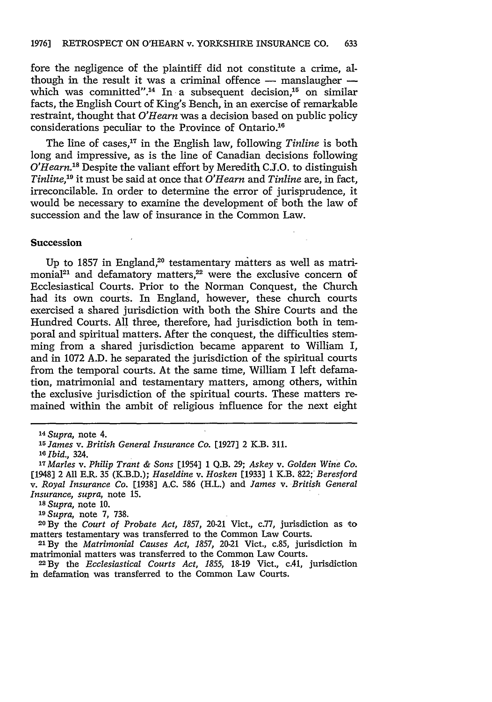fore the negligence of the plaintiff did not constitute a crime, although in the result it was a criminal offence - manslaugher which was committed".<sup>14</sup> In a subsequent decision,<sup>15</sup> on similar facts, the English Court of King's Bench, in an exercise of remarkable restraint, thought that *O'Hearn* was a decision based on public policy considerations peculiar to the Province of Ontario.<sup>16</sup>

The line of cases,<sup>17</sup> in the English law, following *Tinline* is both long and impressive, as is the line of Canadian decisions following *O'Hearn.8* Despite the valiant effort by Meredith C.S.O. to distinguish *Tinline,19* it must be said at once that *O'Hearn* and *Tinline* are, in fact, irreconcilable. In order to determine the error of jurisprudence, it would be necessary to examine the development of both the law of succession and the law of insurance in the Common Law.

#### **Succession**

Up to 1857 in England, $20$  testamentary matters as well as matrimonial<sup>21</sup> and defamatory matters, $22$  were the exclusive concern of Ecclesiastical Courts. Prior to the Norman Conquest, the Church had its own courts. In England, however, these church courts exercised a shared jurisdiction with both the Shire Courts and the Hundred Courts. All three, therefore, had jurisdiction both in temporal and spiritual matters. After the conquest, the difficulties stemming from a shared jurisdiction became apparent to William I, and in 1072 A.D. he separated the jurisdiction of the spiritual courts from the temporal courts. At the same time, William I left defamation, matrimonial and testamentary matters, among others, within the exclusive jurisdiction of the spiritual courts. These matters remained within the ambit of religious influence for the next eight

**<sup>29</sup>***Supra,* note 7, 738.

**<sup>20</sup>By** the *Court of Probate Act, 1857,* 20-21 Vict., c.77, jurisdiction as to matters testamentary was transferred to the Common Law Courts. <sup>21</sup>**By** the *Matrimonial Causes Act, 1857,* 20-21 Vict., c.85, jurisdiction in

matrimonial matters was transferred to the Common Law Courts.

**22By** the *Ecclesiastical Courts Act, 1855,* **18-19** Vict., c.41, jurisdiction in defamation was transferred to the Common Law Courts.

*<sup>14</sup>Supra,* note 4.

**<sup>25</sup>***James v. British General Insurance Co.* [1927] 2 K.B. **311.**

**<sup>1</sup>** *Ibid.,* 324.

*<sup>17</sup>Marles v. Philip Trant & Sons* [1954] **1 Q.B.** 29; *Askey v. Golden Wine Co.* [1948] 2 All E.R. 35 (K.B.D.); *Haseldine v. Hosken* [1933] 1 K.B. 822; *Beresford v. Royal Insurance Co.* [1938] A.C. 586 (H.L.) and *James v. British General Insurance, supra,* note **15.**

*<sup>18</sup>Supra,* note **10.**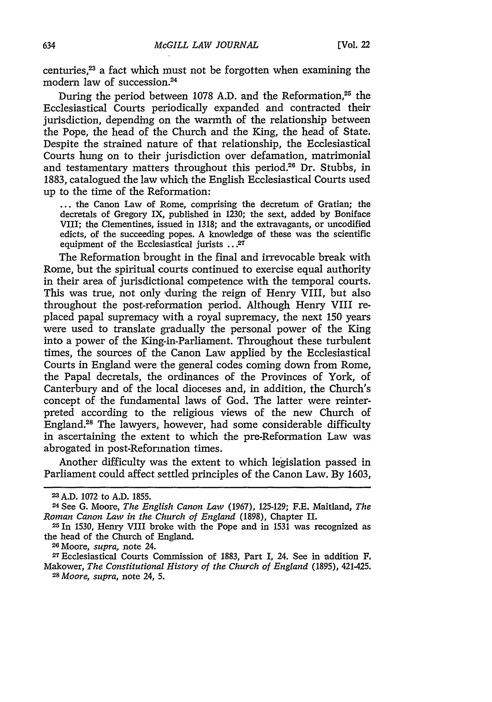centuries,<sup>23</sup> a fact which must not be forgotten when examining the modern law of succession.<sup>24</sup>

During the period between 1078 A.D. and the Reformation.<sup>25</sup> the Ecclesiastical Courts periodically expanded and contracted their jurisdiction, depending on the warmth of the relationship between the Pope, the head of the Church and the King, the head of State. Despite the strained nature of that relationship, the Ecclesiastical Courts hung on to their jurisdiction over defamation, matrimonial and testamentary matters throughout this period.<sup>26</sup> Dr. Stubbs, in 1883, catalogued the law which the English Ecclesiastical Courts used up to the time of the Reformation:

**...** the Canon Law of Rome, comprising the decretum of Gratian; the decretals of Gregory IX, published in 1230; the sext, added by Boniface VIII; the Clementines, issued in 1318; and the extravagants, or uncodified edicts, of the succeeding popes. A knowledge of these was the scientific equipment of the Ecclesiastical jurists **...** *X*

The Reformation brought in the final and irrevocable break with Rome, but the spiritual courts continued to exercise equal authority in their area of jurisdictional competence with the temporal courts. This was true, not only during the reign of Henry VIII, but also throughout the post-reformation period. Although Henry VIII replaced papal supremacy with a royal supremacy, the next 150 years were used to translate gradually the personal power of the King into a power of the King-in-Parliament. Throughout these turbulent times, the sources of the Canon Law applied by the Ecclesiastical Courts in England were the general codes coming down from Rome, the Papal decretals, the ordinances of the Provinces of York, of Canterbury and of the local dioceses and, in addition, the Church's concept of the fundamental laws of God. The latter were reinterpreted according to the religious views of the new Church of England.28 The lawyers, however, had some considerable difficulty in ascertaining the extent to which the pre-Reformation Law was abrogated in post-Reformation times.

Another difficulty was the extent to which legislation passed in Parliament could affect settled principles of the Canon Law. By 1603,

<sup>23</sup>A.D. 1072 to A.D. 1855.

<sup>24</sup> See G. Moore, *The English Canon Law* (1967), 125-129; F.E. Maitland, *The Roman Canon Law in the Church of England* (1898), Chapter II.

**<sup>2</sup>In** 1530, Henry VIII broke with the Pope and in **1531** was recognized as the head of the Church of England.<br><sup>26</sup> Moore, *supra*, note 24.

<sup>&</sup>lt;sup>27</sup> Ecclesiastical Courts Commission of 1883, Part I, 24. See in addition F. Makower, *The Constitutional History of the Church of England* (1895), 421-425. *<sup>28</sup> Moore, supra,* note 24, 5.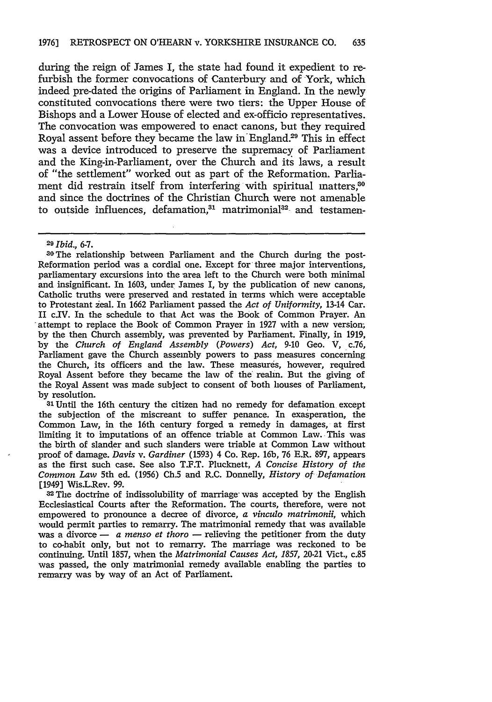during the reign of James I, the state had found it expedient to refurbish the former convocations of Canterbury and of York, which indeed pre-dated the origins of Parliament in England. In the newly constituted convocations there were two tiers: the Upper House of Bishops and a Lower House of elected and ex-officio representatives. The convocation was empowered to enact canons, but they required Royal assent before they became the law in England.29 This in effect was a device introduced to preserve the supremacy of Parliament and the King-in-Parliament, over the Church and its laws, a result of "the settlement" worked out as part of the Reformation. Parliament did restrain itself from interfering with spiritual matters.<sup>30</sup> and since the doctrines of the Christian Church were not amenable to outside influences, defamation,<sup>31</sup> matrimonial<sup>32</sup> and testamen-

*<sup>29</sup>Ibid., 6-7.*

**O** The relationship between Parliament and the Church during the post-Reformation period was a cordial one. Except for three major interventions, parliamentary excursions into the area left to the Church were both minimal and insignificant. In 1603, under James I, by the publication of new canons, Catholic truths were preserved and restated in terms which were acceptable to Protestant zeal. In 1662 Parliament passed the *Act of Uniformity,* 13-14 Car. II c.IV. In the schedule to that Act was the Book of Common Prayer. An attempt to replace the Book of Common Prayer in 1927 with a new version; by the then Church assembly, was prevented by Parliament. Finally, in 1919, by the *Church of England Assembly (Powers) Act,* 9-10 Geo. *V,* c.76, Parliament gave the Church assembly powers to pass measures concerning the Church, its officers and the law. These measures, however, required Royal Assent before they became the law of the' realm. But the giving of the Royal Assent was made subject to consent of both houses of Parliament, by resolution.

*<sup>31</sup>*Until the 16th century the citizen had no remedy for defamation except the subjection of the miscreant to suffer penance. In exasperation, the Common Law, in the 16th century forged a remedy in damages, at first limiting it to imputations of an offence triable at Common Law. This was the birth of slander and such slanders were triable at Common Law without proof of damage. *Davis v. Gardiner* (1593) 4 Co. Rep. 16b, 76 E.R. 897, appears as the first such case. See also T.F.T. Plucknett, *A Concise History of the Common Law* 5th ed. (1956) Ch.5 and R.C. Donnelly, *History of Defamation* [1949] Wis.L.Rev. 99.

32The doctrine of indissolubility of marriage- was accepted by the English Ecclesiastical Courts after the Reformation. The courts, therefore, were not empowered to pronounce a decree of divorce, *a vinculo matrimonii,* which would permit parties to remarry. The matrimonial remedy that was available was a divorce - *a menso et thoro* - relieving the petitioner from the duty to co-habit only, but not to remarry. The marriage was reckoned to be continuing. Until 1857, when the *Matrimonial Causes Act, 1857,* 20-21 Vict., c.85 was passed, the only matrimonial remedy available enabling the parties to remarry was by way of an Act of Parliament.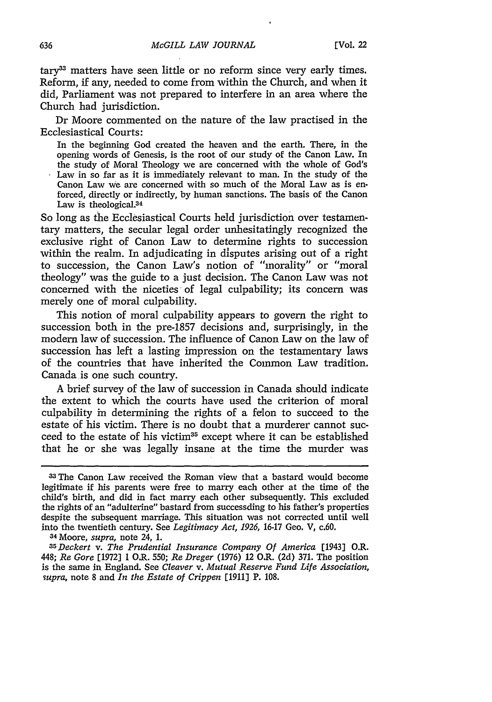$tary<sup>33</sup>$  matters have seen little or no reform since very early times. Reform, if any, needed to come from within the Church, and when it did, Parliament was not prepared to interfere in an area where the Church had jurisdiction.

Dr Moore commented on the nature of the law practised in the Ecclesiastical Courts:

In the beginning God created the heaven and the earth. There, in the opening words of Genesis, is the root of our study of the Canon Law. In the study of Moral Theology we are concerned with the whole of God's Law in so far as it is immediately relevant to man. In the study of the Canon Law We are concerned with so much of the Moral Law as is enforced, directly or indirectly, by human sanctions. The basis of the Canon Law is theological.<sup>34</sup>

So long as the Ecclesiastical Courts held jurisdiction over testamentary matters, the secular legal order unhesitatingly recognized the exclusive right of Canon Law to determine rights to succession within the realm. In adjudicating in disputes arising out of a right to succession, the Canon Law's notion of "morality" or "moral theology" was the guide to a just decision. The Canon Law was not concerned with the niceties of legal culpability; its concern was merely one of moral culpability.

This notion of moral culpability appears to govern the right to succession both in the pre-1857 decisions and, surprisingly, in the modern law of succession. The influence of Canon Law on the law of succession has left a lasting impression on the testamentary laws of the countries that have inherited the Common Law tradition. Canada is one such country.

A brief survey of the law of succession in Canada should indicate the extent to which the courts have used the criterion of moral culpability in determining the rights of a felon to succeed to the estate of his victim. There is no doubt that a murderer cannot succeed to the estate of his victim<sup>35</sup> except where it can be established that he or she was legally insane at the time the murder was

*3 5 Deckert v. The Prudential Insurance Company Of America* [1943] O.R. 448; *Re Gore* [1972] 1 O.R. 550; *Re Dreger* (1976) 12 O.R. (2d) 371. The position is the same in England. See *Cleaver v. Mutual Reserve Fund Life Association, supra,* note 8 and *In the Estate of Crippen* [1911] P. 108.

<sup>3</sup>The Canon Law received the Roman view that a bastard would become legitimate if his parents were free to marry each other at the time of the child's birth, and did in fact marry each other subsequently. This excluded the rights of an "adulterine" bastard from successding to his father's properties despite the subsequent marriage. This situation was not corrected until well into the twentieth century. See *Legitimacy Act, 1926,* 16-17 Geo. V, c.60. 34 Moore, *supra,* note 24, 1.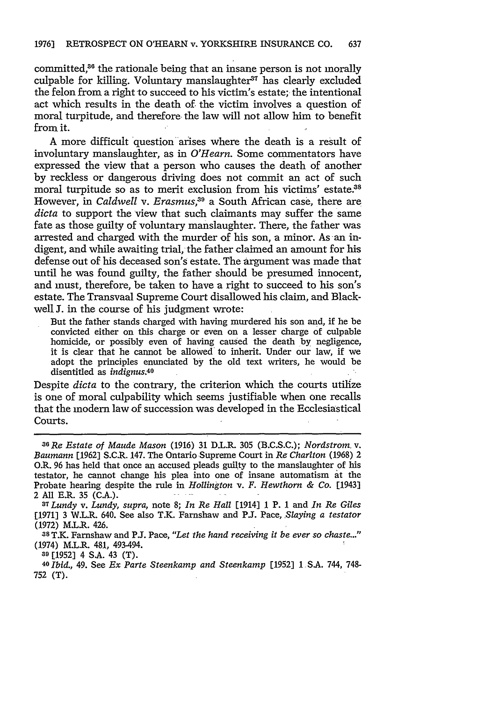committed,<sup>36</sup> the rationale being that an insane person is not morally culpable for killing. Voluntary manslaughter $37$  has clearly excluded the felon from a right to succeed to his victim's estate; the intentional act which results in the death of the victim involves a question of moral turpitude, and therefore. the law will not allow him to benefit from it.

A more difficult question arises where the death is a result of involuntary manslaughter, as in *O'Hearn.* Some commentators have expressed the view that a person who causes the death of another by reckless or dangerous driving does not commit an act of such moral turpitude so as to merit exclusion from his victims' estate.<sup>38</sup> However, in *Caldwell v. Erasmus*,<sup>39</sup> a South African case, there are *dicta* to support the view that such claimants may suffer the same fate as those guilty of voluntary manslaughter. There, the father was arrested and charged with the murder of his son, a minor. As an indigent, and while awaiting trial, the father claimed an amount for his defense out of his deceased son's estate. The argument was made that until he was found guilty, the father should be presumed innocent, and must, therefore, be taken to have a right to succeed to his son's estate. The Transvaal Supreme Court disallowed his claim, and Blackwell J. in the course of his judgment wrote:

But the father stands charged with having murdered his son and, if he be convicted either on this charge or even on a lesser charge of culpable homicide, or possibly even of having caused the death by negligence, it is clear that he cannot be allowed' to inherit. Under our law, if we adopt the principles enunciated by the old text writers, he would be disentitled as *indignus.40*

Despite *dicta* to the contrary, the criterion which the courts utilize is one of moral culpability which seems justifiable when one recalls that the modem law of succession was developed in the Ecclesiastical Courts.

**<sup>38</sup>**T.K. Farnshaw and PJ. Pace, *"Let the hand receiving it be ever so chaste..."* (1974) M.L.R. 481, 493-494.

**39** [1952] 4 S.A. 43 (T).

**<sup>40</sup>***Ibid.,* 49. See *Ex Parte Steenkamp and Steenkamp* [1952] **1** S.A. 744, 748- 752 (T).

*z6 Re Estate of Maude Mason* (1916) 31 D.L.R. 305 (B.C.S.C.); *Nordstrom v. Baumann* [1962] S.C.R. 147. The Ontario Supreme Court in *Re Charlton* (1968) 2 O.R. *96* has held that once an accused pleads guity to the manslaughter of his testator, he cannot change his plea into one of insane automatism at the Probate hearing despite the rule in *Hollington v. F. Hewthorn & Co.* [1943] <sup>2</sup>**All** E.R. **35 (CA.).** *<sup>3</sup>*

*<sup>7</sup> Lundy v. Lundy, supra,* note 8; *In Re Hall* [1914] **1** P. **1** and *In Re Giles* [1971] 3 W.L.R. 640. See also T.K. Farnshaw and **P.J.** Pace, *Slaying a testator* **(1972)** M.L.R. 426.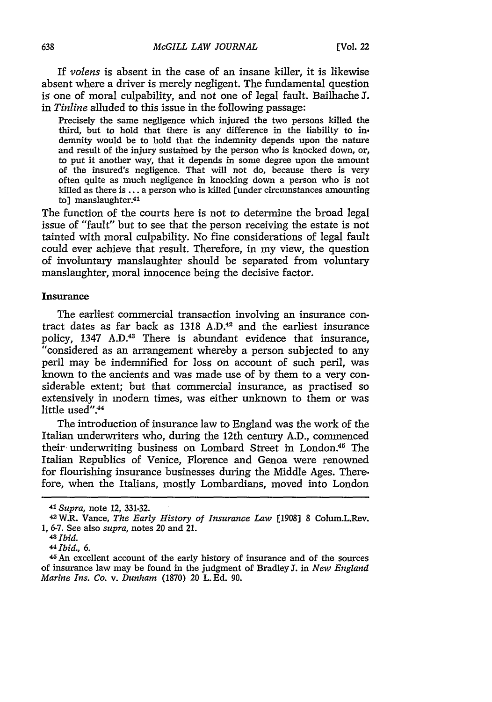If *volens* is absent in the case of an insane killer, it is likewise absent where a driver is merely negligent. The fundamental question is one of moral culpability, and not one of legal fault. Bailhache 3. in *Tinline* alluded to this issue in the following passage:

Precisely the same negligence which injured the two persons killed the third, but to hold that there is any difference in the liability to indemnity would be to hold that the indemnity depends upon the nature and result of the injury sustained by the person who is knocked down, or, to put it another way, that it depends in some degree upon the amount of the insured's negligence. That will not do, because there is very often quite as much negligence in knocking down a person who is not killed as there is ... a person who is killed [under circumstances amounting to] manslaughter.41

The function of the courts here is not to determine the broad legal issue of "fault" but to see that the person receiving the estate is not tainted with moral culpability. No fine considerations of legal fault could ever achieve that result. Therefore, in my view, the question of involuntary manslaughter should be separated from voluntary manslaughter, moral innocence being the decisive factor.

## **Insurance**

The earliest commercial transaction involving an insurance contract dates as far back as 1318 A.D.<sup>42</sup> and the earliest insurance policy, 1347 A.D.<sup>43</sup> There is abundant evidence that insurance, "considered as an arrangement whereby a person subjected to any peril may be indemnified for loss on account of such peril, was known to the ancients and was made use of by them to a very considerable extent; but that commercial insurance, as practised so extensively in modern times, was either unknown to them or was little used". $44$ 

The introduction of insurance law to England was the work of the Italian underwriters who, during the 12th century A.D., commenced their underwriting business on Lombard Street in London.<sup>45</sup> The Italian Republics of Venice, Florence and Genoa were renowned for flourishing insurance businesses during the Middle Ages. Therefore, when the Italians, mostly Lombardians, moved into London

**<sup>41</sup>***Supra,* note 12, 331-32.

<sup>4</sup> <sup>2</sup> W.R. Vance, *The Early History of Insurance Law* [1908] 8 Colum.L.Rev. 1, 6-7. See also *supra,* notes 20 and 21.

*<sup>43</sup> Ibid.*

<sup>441</sup>bid., *6.*

<sup>45</sup>An excellent account of the early history of insurance and of the sources of insurance law may be found in the judgment of Bradley **J.** in *New England Marine Ins. Co. v. Dunham* (1870) 20 L. Ed. 90.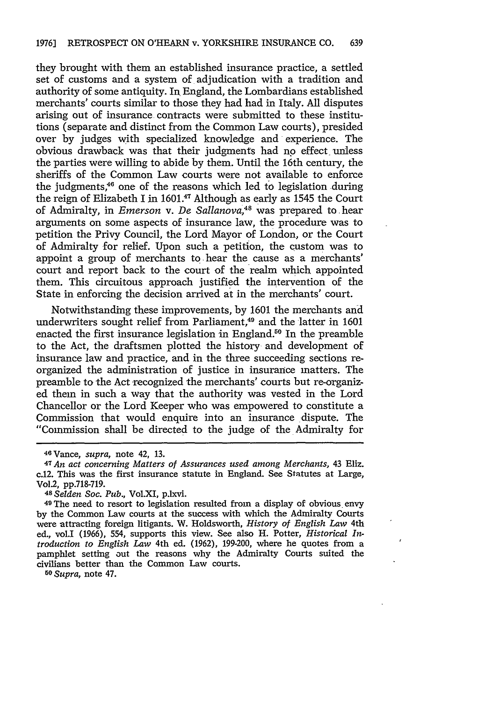they brought with them an established insurance practice, a settled set of customs and a system of adjudication with a tradition and authority of some antiquity. In England, the Lombardians established merchants' courts similar to those they had had in Italy. All disputes arising out of insurance contracts were submitted to these institutions (separate and distinct from the Common Law courts), presided over by judges with specialized knowledge and experience. The obvious drawback was that their judgments had no effect unless the parties were willing to abide by them. Until the 16th century, the sheriffs of the Common Law courts were not available to enforce the judgments,46 one of the reasons which led to legislation during the reign of Elizabeth I in 1601.<sup>47</sup> Although as early as 1545 the Court of Admiralty, in *Emerson v. De Sallanova,48* was prepared to hear arguments on some aspects of insurance law, the procedure was to petition the Privy Council, the Lord Mayor of London, or the Court of Admiralty for relief. Upon such a petition, the custom was to appoint a group of merchants to hear the cause as a merchants' court and report back to the court of the realm which appointed them. This circuitous approach justified the intervention of the State in enforcing the decision arrived at in the merchants' court.

Notwithstanding these improvements, by 1601 the merchants and underwriters sought relief from Parliament,<sup>49</sup> and the latter in 1601 enacted the first insurance legislation in England.<sup>50</sup> In the preamble to the Act, the draftsmen plotted the history and development of insurance law and practice, and in the three succeeding sections reorganized the administration of justice in insurance matters. The preamble to the Act recognized the merchants' courts but re-organized them in such a way that the authority was vested in the Lord Chancellor or the Lord Keeper who was empowered to constitute a Commission that would enquire into an insurance dispute. The "Commission shall be directed to the judge of the Admiralty for

5 *Supra,* note 47.

<sup>46</sup> Vance, *supra,* note 42, 13.

<sup>47</sup>*An act concerning Matters of Assurances used among Merchants,* 43 Eliz. c.12. This was the first insurance statute in England. See Statutes at Large, Vol.2, pp.718-719.

<sup>719</sup> . *48 Setden Soc. Pub.,* Vol.XI, p.lxvi.

<sup>49</sup>The need to resort to legislation resulted from a display of obvious envy by the Common Law courts at the success with which the Admiralty Courts were attracting foreign litigants. W. Holdsworth, *History of English Law* 4th ed., vol.I (1966), 554, supports this view. See also H. Potter, *Historical Introduction to English Law* 4th ed. (1962), 199-200, where he quotes from a pamphlet setting out the reasons why the Admiralty Courts suited the civilians better than the Common Law courts.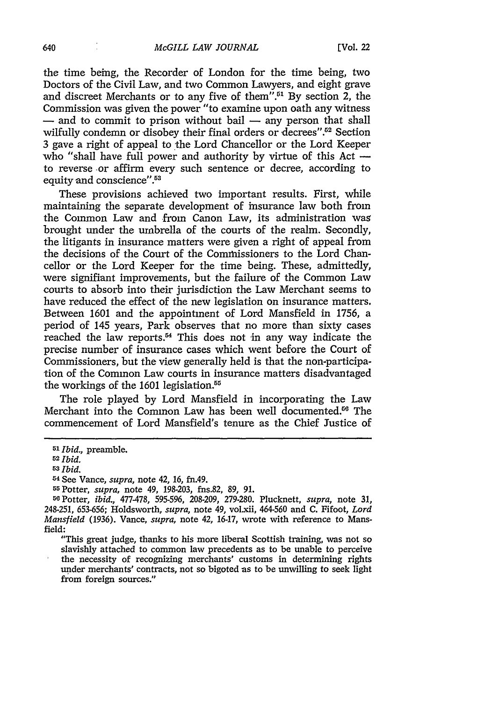the time being, the Recorder of London for the time being, two Doctors of the Civil Law, and two Common Lawyers, and eight grave and discreet Merchants or to any five of them".<sup>51</sup> By section 2, the Commission was given the power "to examine upon oath any witness - and to commit to prison without bail - any person that shall wilfully condemn or disobey their final orders or decrees".<sup>52</sup> Section 3 gave a right of appeal to the Lord Chancellor or the Lord Keeper who "shall have full power and authority by virtue of this Act to reverse -or affirm every such sentence or decree, according to equity and conscience".<sup>53</sup>

These provisions achieved two important results. First, while maintaining the separate development of insurance law both from the Common Law and from Canon Law, its administration was brought under the umbrella of the courts of the realm. Secondly, the litigants in insurance matters were given a right of appeal from the decisions of the Court of the Commissioners to the Lord Chancellor or the Lord Keeper for the time being. These, admittedly, were signifiant improvements, but the failure of the Common Law courts to absorb into their jurisdiction the Law Merchant seems to have reduced the effect of the new legislation on insurance matters. Between 1601 and the appointment of Lord Mansfield in 1756, a period of 145 years, Park observes that no more than sixty cases reached the law reports.<sup>54</sup> This does not in any way indicate the precise number of insurance cases which went before the Court of Commissioners, but the view generally held is that the non-participation of the Common Law courts in insurance matters disadvantaged the workings of the 1601 legislation.<sup>55</sup>

The role played by Lord Mansfield in incorporating the Law Merchant into the Common Law has been well documented.<sup>66</sup> The commencement of Lord Mansfield's tenure as the Chief Justice of

"This great judge, thanks to his more liberal Scottish training, was not so slavishly attached to common law precedents as to be unable to perceive the necessity of recognizing merchants' customs in determining rights under merchants' contracts, not so bigoted as to be unwilling to seek light from foreign sources."

**<sup>51</sup>***Ibid.,* preamble.

**<sup>52</sup>Ibid.**

<sup>53</sup>Ibid.

<sup>-4</sup>See Vance, *supra,* note 42, **16,** fn.49.

<sup>55</sup> Potter, *supra,* note 49, 198-203, fns.82, 89, *91.* 50Potter, *ibid.,* 477-478, 595-596, 208-209, 279-280. Plucknett, *supra,* note 31, 248-251, 653-656; Holdsworth, *supra,* note 49, volxii, 464-560 and **C.** Fifoot, *Lord Mansfield* (1936). Vance, *supra,* note 42, 16-17, wrote with reference to Mansfield: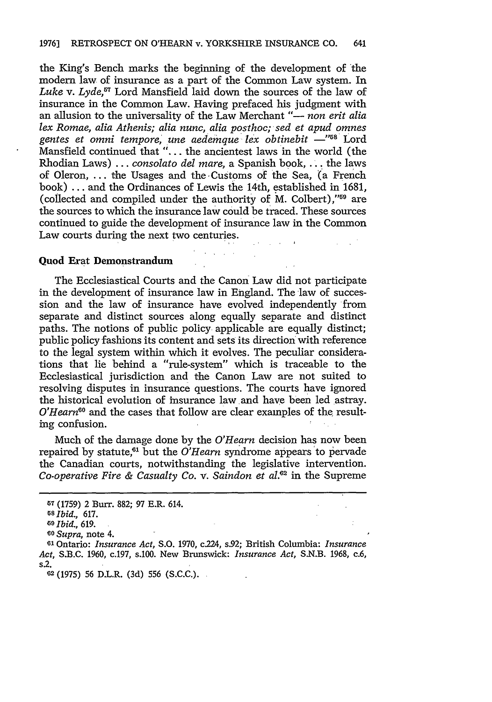the King's Bench marks the beginning of the development of the modern law of insurance as a part of the Common Law system. In *Luke* v. *Lyde,57* Lord Mansfield laid down the sources of the law of insurance in the Common Law. Having prefaced his judgment with an allusion to the universality of the Law Merchant "- *non erit alia lex Romae, alia Athenis; alia nunc, alia posthoc; sed et apud omnes* gentes et omni tempore, une aedemque lex obtinebit —"<sup>58</sup> Lord Mansfield continued that "... the ancientest laws in the world (the Rhodian Laws) ... *consolato del mare,* a Spanish book, **...** the laws of Oleron, ... the Usages and the Customs of the Sea, (a French book) ... and the Ordinances of Lewis the 14th, established in **1681,** (collected and compiled under the authority of M. Colbert)," $59$  are the sources to which the insurance law could be traced. These sources continued to guide the development of insurance law in the Common Law courts during the next two centuries.

### Quod Erat Demonstrandum

The Ecclesiastical Courts and the Canon Law did not participate in the development of insurance law in England. The law of succession and the law of insurance have evolved independently from separate and distinct sources along equally separate and distinct paths. The notions of public policy- applicable are equally distinct; public policy fashions its content and sets its direction with reference to the legal system within which it evolves. The peculiar considerations that lie behind a "rule-system" which is traceable to the Ecclesiastical jurisdiction and the Canon Law are not suited to resolving disputes in insurance questions. The courts have ignored the historical evolution of insurance law and have been led astray. *O'Hearn*<sup>60</sup> and the cases that follow are clear examples of the resulting confusion.

Much of the damage done by the *O'Hearn* decision has now been repaired by statute,<sup>61</sup> but the *O'Hearn* syndrome appears to pervade the Canadian courts, notwithstanding the legislative intervention. *Co-operative Fire & Casualty Co. v. Saindon et al.62* in the Supreme

**<sup>5</sup>** (1759) 2 Burr. 882; 97 E.R. 614.

<sup>68</sup>*Ibid.,* **617.**

*GO Ibid.,* 619.

*Io Supra,* note 4.

<sup>61</sup> Ontario: *Insurance Act,* S.O. 1970, c.224, s.92; British Columbia: *Insurance Act,* S.B.C. 1960, c.197, s.100. New Brunswick: *Insurance Act,* S.N.B. 1968, c.6, s.2.

**<sup>2</sup>** (1975) **56** D.L.R. (3d) 556 (S.C.C.).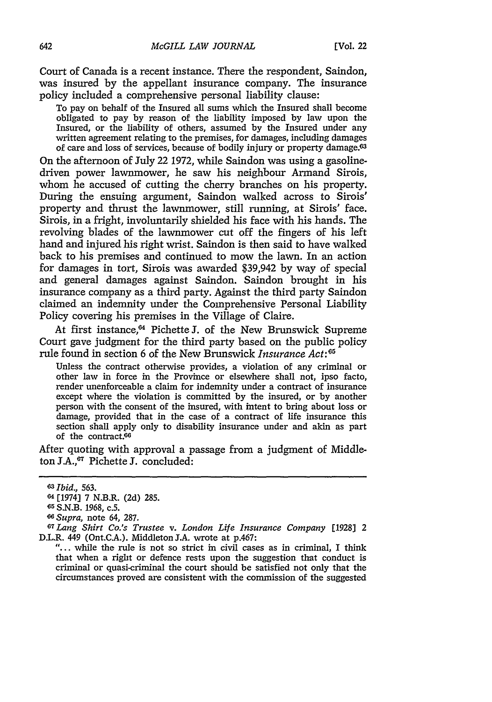Court of Canada is a recent instance. There the respondent, Saindon, was insured by the appellant insurance company. The insurance policy included a comprehensive personal liability clause:

To pay on behalf of the Insured all sums which the Insured shall become obligated to pay by reason of the liability imposed by law upon the Insured, or the liability of others, assumed by the Insured under any written agreement relating to the premises, for damages, including damages of care and loss of services, because of bodily injury or property damage.<sup>63</sup>

On the afternoon of July 22 1972, while Saindon was using a gasolinedriven power lawnmower, he saw his neighbour Armand Sirois, whom he accused of cutting the cherry branches on his property. During the ensuing argument, Saindon walked across to Sirois' property and thrust the lawnmower, still running, at Sirois' face. Sirois, in a fright, involuntarily shielded his face with his hands. The revolving blades of the lawnmower cut off the fingers of his left hand and injured his right wrist. Saindon is then said to have walked back to his premises and continued to mow the lawn. In an action for damages in tort, Sirois was awarded \$39,942 by way of special and general damages against Saindon. Saindon brought in his insurance company as a third party. Against the third party Saindon claimed an indemnity under the Comprehensive Personal Liability Policy covering his premises in the Village of Claire.

At first instance,<sup>64</sup> Pichette J. of the New Brunswick Supreme Court gave judgment for the third party based on the public policy rule found in section 6 of the New Brunswick *Insurance Act*:<sup>65</sup>

Unless the contract otherwise provides, a violation of any criminal or other law in force in the Province or elsewhere shall not, ipso facto, render unenforceable a claim for indemnity under a contract of insurance except where the violation is committed by the insured, or by another person with the consent of the insured, with intent to bring about loss or damage, provided that in the case of a contract of life insurance this section shall apply only to disability insurance under and akin as part of the contract.<sup>66</sup>

After quoting with approval a passage from a judgment of Middleton J.A.,<sup>67</sup> Pichette J. concluded:

"... while the rule is not so strict in civil cases as in criminal, I think that when a right or defence rests upon the suggestion that conduct is criminal or quasi-criminal the court should be satisfied not only that the circumstances proved are consistent with the commission of the suggested

*<sup>63</sup>Ibid.,* 563.

<sup>64[1974] 7</sup> N.B.R. (2d) 285.

**<sup>65</sup>**S.N.B. 1968, c.5.

*<sup>6</sup> Supra,* note 64, 287.

*<sup>67</sup>Lang Shirt Co.s Trustee v. London Life Insurance Company* [1928] 2 D.L.R. 449 (Ont.C.A.). Middleton J.A. wrote at p.467: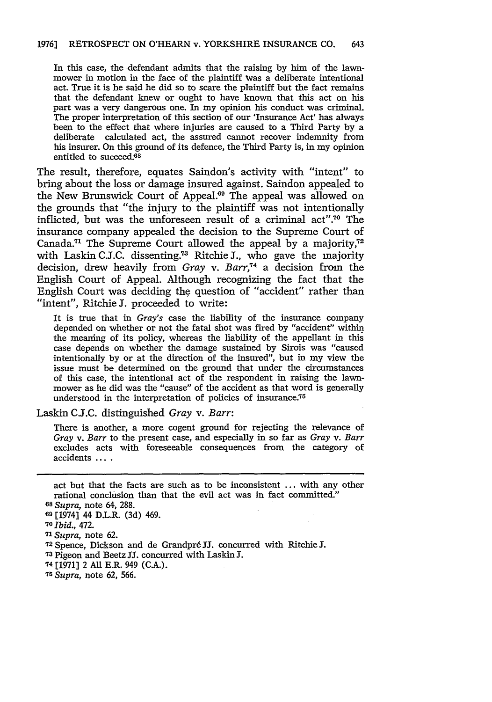In this case, the defendant admits that the raising by him of the lawnmower in motion in the face of the plaintiff was a deliberate intentional act. True it is he said he did so to scare the plaintiff but the fact remains that the defendant knew or ought to have known that this act on his part was a very dangerous one. In my opinion his conduct was criminal. The proper interpretation of this section of our 'Insurance Act' has always been to the effect that where injuries are caused to a Third Party **by** a deliberate calculated act, the assured cannot recover indemnity from his insurer. On this ground of its defence, the Third Party is, in my opinion entitled to succeed.<sup>68</sup>

The result, therefore, equates Saindon's activity with "intent" to bring about the loss or damage insured against. Saindon appealed to the New Brunswick Court of Appeal.<sup>69</sup> The appeal was allowed on the grounds that "the injury to the plaintiff was not intentionally inflicted, but was the unforeseen result of a criminal act".<sup>70</sup> The insurance company appealed the decision to the Supreme Court of Canada.<sup>71</sup> The Supreme Court allowed the appeal by a majority,<sup>72</sup> with Laskin C.J.C. dissenting.<sup>73</sup> Ritchie J., who gave the majority decision, drew heavily from *Gray* v. *Barr,74* a decision from the English Court of Appeal. Although recognizing the fact that the English Court was deciding the question of "accident" rather than "intent", Ritchie **J.** proceeded to write:

It is true that in *Gray's* case the liability of the insurance company depended on whether or not the fatal shot was fired **by** "accident" within the meaning of its policy, whereas the liability of the appellant in this case depends on whether the damage sustained by Sirois was "caused intentionally by or at the direction of the insured", but in my view the issue must be determined on the ground that under the circumstances of this case, the intentional act of the respondent in raising the lawnmower as he did was the "cause" of the accident as that word is generally understood in the interpretation of policies of insurance.<sup>75</sup>

Laskin C.J.C. distinguished *Gray v. Barr:*

There is another, a more cogent ground for rejecting the relevance of *Gray v. Barr* to the present case, and especially in so far as *Gray v. Barr* excludes acts with foreseeable consequences from the category of accidents **....**

**<sup>71</sup>***Supra,* note 62.

- **'73 Pigeon** and Beetz **JI.** concurred with Laskin **J.**
- **74** [1971] 2 **All** E.R. 949 (C.A.).
- *<sup>75</sup> Supra,* note 62, 566.

act but that the facts are such as to be inconsistent ... with any other rational conclusion than that the evil act was in fact committed."

**<sup>68</sup>***Supra,* note 64, 288.

**<sup>09</sup>** [1974] 44 D.L.R. (3d) 469.

**<sup>&#</sup>x27;O** *Ibid.,* 472.

**<sup>7</sup>** Spence, Dickson and de Grandpr6 **JJ.** concurred with Ritchie **J.**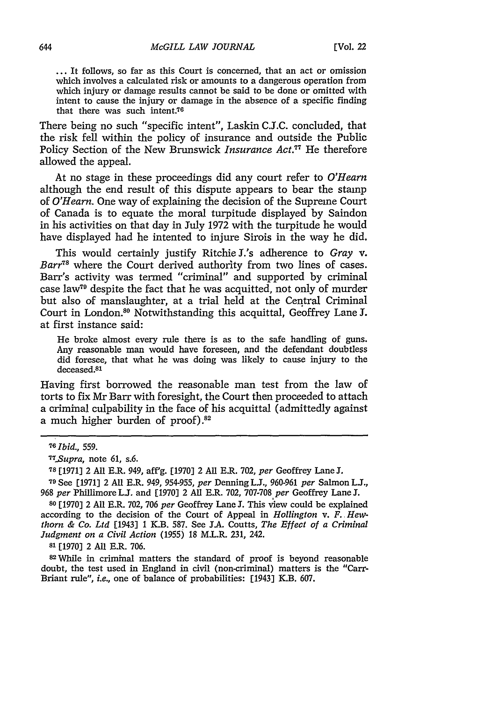**...** It follows, so far as this Court is concerned, that an act or omission which involves a calculated risk or amounts to a dangerous operation from which injury or damage results cannot be said to be done or omitted with intent to cause the injury or damage in the absence of a specific finding that there was such intent.<sup>76</sup>

There being no such "specific intent", Laskin C.J.C. concluded, that the risk fell within the policy of insurance and outside the Public Policy Section of the New Brunswick *Insurance Act."* He therefore allowed the appeal.

At no stage in these proceedings did any court refer to *O'Hearn* although the end result of this dispute appears to bear the stamp of *O'Hearn.* One way of explaining the decision of the Supreme Court of Canada is to equate the moral turpitude displayed by Saindon in his activities on that day in July 1972 with the turpitude he would have displayed had he intented to injure Sirois in the way he did.

This would certainly justify Ritchie J.'s adherence to *Gray v. Barr"8* where the Court derived authority from two lines of cases. Barr's activity was termed "criminal" and supported by criminal case **law79** despite the fact that he was acquitted, not only of murder but also of manslaughter, at a trial held at the Central Criminal Court in London.<sup>80</sup> Notwithstanding this acquittal, Geoffrey Lane J. at first instance said:

He broke almost every rule there is as to the safe handling of guns. Any reasonable man would have foreseen, and the defendant doubtless did foresee, that what he was doing was likely to cause injury to the deceased.81

Having first borrowed the reasonable man test from the law of torts to fix Mr Barr with foresight, the Court then proceeded to attach a criminal culpability in the face of his acquittal (admittedly against a much higher burden of proof) **.82**

**<sup>79</sup>**See [1971] 2 All E.R. 949, 954-955, *per* Denning **LJ.,** 960-961 *per* Salmon **L.J.,** *968 per* Phillimore **L.J.** and [1970] 2 All E.R. 702, 707-708 *per* Geoffrey Lane **J.**

**<sup>80</sup>**[1970] 2 All E.R. 702, 706 *per* Geoffrey Lane **J.** This view could be explained according to the decision of the Court of Appeal in *Hollington v. F. Hewthorn & Co. Ltd* [1943] 1 K.B. 587. See **J.A.** Coutts, *The Effect of a Criminal Judgment on a Civil Action* (1955) 18 M.L.R. 231, 242.

**81** [1970] 2 All E.R. 706.

82 While in criminal matters the standard of proof is beyond reasonable doubt, the test used in England in civil (non-criminal) matters is the "Carr-Briant rule", *i.e.,* one of balance of probabilities: [1943] K.B. 607.

**<sup>70</sup>***Ibid.,* 559.

*T7 .Supra,* note 61, s.6.

**<sup>78</sup>**[1971] 2 All E.R. 949, aff'g. [1970] 2 All E.R. 702, *per* Geoffrey Lane **J.**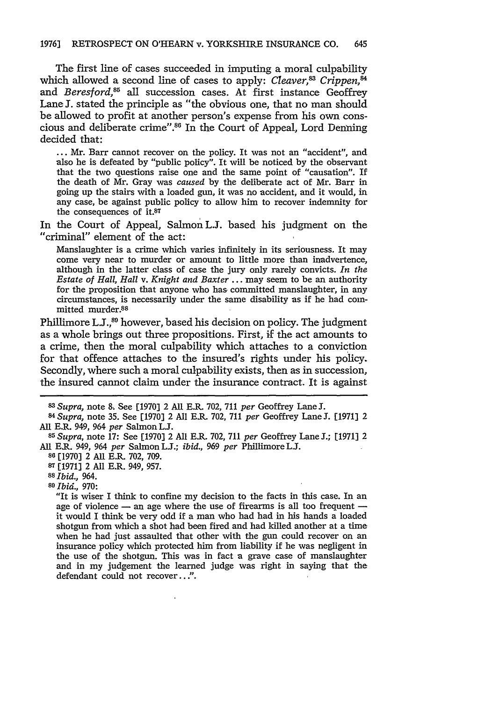The first line of cases succeeded in imputing a moral culpability which allowed a second line of cases to apply: *Cleaver*,<sup>83</sup> Crippen,<sup>84</sup> and *Beresford*,<sup>85</sup> all succession cases. At first instance Geoffrey Lane **1.** stated the principle as "the obvious one, that no man should be allowed to profit at another person's expense from his own conscious and deliberate crime".86 In the Court of Appeal, Lord Denning decided that:

... Mr. Barr cannot recover on the policy. It was not an "accident", and also he is defeated by "public policy". It will be noticed by the observant that the two questions raise one and the same point of "causation". If the death of Mr. Gray was *caused* by the deliberate act of Mr. Barr in going up the stairs with a loaded gun, it was no accident, and it would, in any case, be against public policy to allow him to recover indemnity for the consequences of **it.87**

In the Court of Appeal, Salmon L.J. based his judgment on the "criminal" element of the act:

Manslaughter is a crime which varies infinitely in its seriousness. It may come very near to murder or amount to little more than inadvertence, although in the latter class of case the jury only rarely convicts. *In the Estate of Hall, Hall v. Knight and Baxter* ... may seem to be an authority for the proposition that anyone who has committed manslaughter, in any circumstances, is necessarily under the same disability as if he had committed murder.88

Phillimore L.J.,<sup>80</sup> however, based his decision on policy. The judgment as a whole brings out three propositions. First, if the act amounts to a crime, then the moral culpability which attaches to a conviction for that offence attaches to the insured's rights under his policy. Secondly, where such a moral culpability exists, then as in succession, the insured cannot claim under the insurance contract. It is against

All E.R. 949, 964 *per* Salmon **LJ. <sup>85</sup>***Supra,* note **17:** See [1970] 2 All E.R. 702, 711 *per* Geoffrey Lane J.; [1971] 2 All E.R. 949, 964 *per* Salmon LJ.; *ibid.,* 969 *per* Phillimore **LJ.**

**<sup>86</sup>**[1970] 2 All E.R. 702, 709.

**<sup>87</sup>**[1971] 2 All E.R. 949, 957.

**<sup>88</sup>***Ibid.,* 964. **<sup>89</sup>***Ibid.,* 970:

"It is wiser I think to confine my decision to the facts in this case. In an age of violence - an age where the use of firearms is all too frequent it would I think be very odd if a man who had had in his hands a loaded shotgun from which a shot had been fired and had killed another at a time when he had just assaulted that other with the gun could recover on an insurance policy which protected him from liability if he was negligent in the use of the shotgun. This was in fact a grave case of manslaughter and in my judgement the learned judge was right in saying that the defendant could not recover...".

*<sup>83</sup>Supra,* note **&** See [1970] 2 **All** E.R. 702, 711 *per* Geoffrey Lane **J.** *<sup>84</sup> Supra,* note 35. See [1970] 2 All E.R. 702, 711 *per* Geoffrey Lane **J.** [1971] 2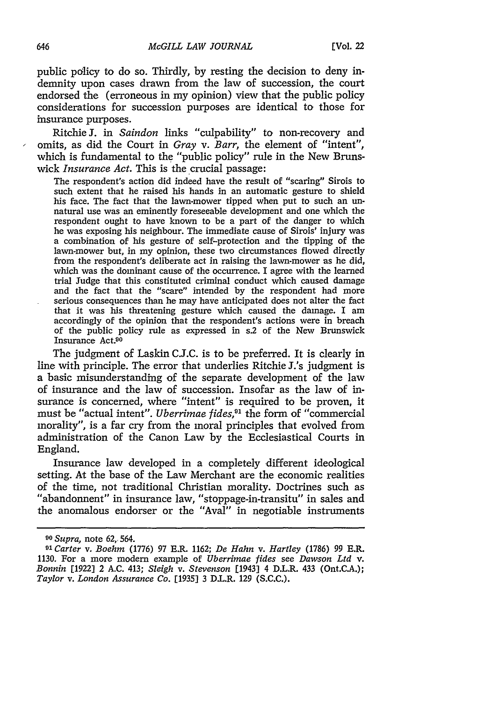public policy to do so. Thirdly, by resting the decision to deny indemnity upon cases drawn from the law of succession, the court endorsed the (erroneous in my opinion) view that the public policy considerations for succession purposes are identical to those for insurance purposes.

Ritchie **J.** in *Saindon* links "culpability" to non-recovery and omits, as did the Court in *Gray v. Barr,* the element of "intent", which is fundamental to the "public policy" rule in the New Brunswick *Insurance Act.* This is the crucial passage:

The respondent's action did indeed have the result of "scaring" Sirois to such extent that he raised his hands in an automatic gesture to shield his face. The fact that the lawn-mower tipped when put to such an unnatural use was an eminently foreseeable development and one which the respondent ought to have known to be a part of the danger to which he was exposing his neighbour. The immediate cause of Sirois' injury was a combination of his gesture of self-protection and the tipping of the lawn-mower but, in my opinion, these two circumstances flowed directly from the respondent's deliberate act in raising the lawn-mower as he did, which was the dominant cause of the occurrence. I agree with the learned trial Judge that this constituted criminal conduct which caused damage and the fact that the "scare" intended by the respondent had more serious consequences than he may have anticipated does not alter the fact that it was his threatening gesture which caused the damage. I am accordingly of the opinion that the respondent's actions were in breach of the public policy rule as expressed in s.2 of the New Brunswick Insurance Act.90

The judgment of Laskin C.J.C. is to be preferred. It is clearly in line with principle. The error that underlies Ritchie J.'s judgment is a basic misunderstanding of the separate development of the law of insurance and the law of succession. Insofar as the law of insurance is concerned, where "intent" is required to be proven, it must be "actual intent". *Uberrimae fides,91* the form of "commercial morality", is a far cry from the moral principles that evolved from administration of the Canon Law by the Ecclesiastical Courts in England.

Insurance law developed in a completely different ideological setting. At the base of the Law Merchant are the economic realities of the time, not traditional Christian morality. Doctrines such as "abandonnent" in insurance law, "stoppage-in-transitu" in sales and the anomalous endorser or the "Aval" in negotiable instruments

*<sup>90</sup>Supra,* note 62,, 564.

**<sup>9&#</sup>x27;** *Carter v. Boehm* (1776) 97 E.R. 1162; *De Hahn v. Hartley* (1786) 99 E.R. 1130. For a more modern example of *Uberrimae fides* see *Dawson Ltd v. Bonnin* [1922] 2 A.C. 413; *Sleigh v. Stevenson* [1943] 4 D.L.R. 433 (Ont.C.A.); *Taylor v. London Assurance Co.* [1935] 3 D.L.R. 129 (S.C.C.).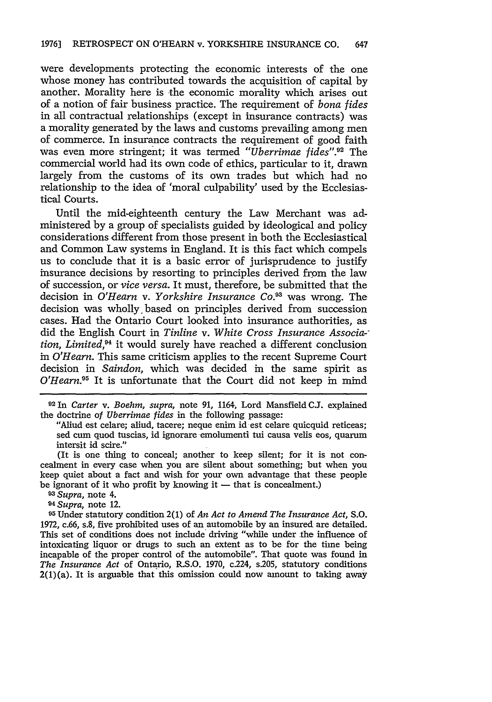were developments protecting the economic interests of the one whose money has contributed towards the acquisition of capital **by** another. Morality here is the economic morality which arises out of a notion of fair business practice. The requirement of *bona fides* in all contractual relationships (except in insurance contracts) was a morality generated **by** the laws and customs prevailing among men of commerce. In insurance contracts the requirement of good faith was even more stringent; it was termed *"Uberrimae fides".92* The commercial world had its own code of ethics, particular to it, drawn largely from the customs of its own trades but which had no relationship to the idea of 'moral culpability' used **by** the Ecclesiastical Courts.

Until the mid-eighteenth century the Law Merchant was administered **by** a group of specialists guided **by** ideological and policy considerations different from those present in both the Ecclesiastical and Common Law systems in England. It is this fact which compels us to conclude that it is a basic error of jurisprudence to justify insurance decisions **by** resorting to principles derived from the law of succession, or *vice versa.* It must, therefore, be submitted that the decision in *O'Hearn* v. *Yorkshire Insurance* Co.93 was wrong. The decision was wholly, based on principles derived from succession cases. Had the Ontario Court looked into insurance authorities, as did the English Court in *Tinline v. White Cross Insurance Associa- tion, Limited,9* it would surely have reached a different conclusion in *O'Hearn.* This same criticism applies to the recent Supreme Court decision in *Saindon,* which was decided in the same spirit as *O'Hearn.*<sup>95</sup> It is unfortunate that the Court did not keep in mind

**<sup>92</sup>**In *Carter v. Boehm, supra,* note 91, 1164, Lord Mansfield **CJ.** explained the doctrine of *Uberrimae fides* in the following passage:

"Aliud est celare; aliud, tacere; neque enim id est celare quicquid reticeas; sed cum quod tuscias, id ignorare emolumenti tui causa velis eos, quarum intersit id scire."

(It is one thing to conceal; another to keep silent; for it is not concealment in every case when you are silent about something; but when you keep quiet about a fact and wish for your own advantage that these people be ignorant of it who profit **by** knowing it **-** that is concealment.)

- *93Supra,* note 4.
- *<sup>94</sup> Supra,* note 12.

**<sup>95</sup>**Under statutory condition 2(1) of *An Act to Amend The Insurance Act,* **S.O.** 1972, c.66, s.8, five prohibited uses of an automobile **by** an insured are detailed. This set of conditions does not include driving "while under the influence of intoxicating liquor or drugs to such an extent as to be for the time being incapable of the proper control of the automobile". That quote was found in *The Insurance Act* of Ontario, R.S.O. 1970, c.224, s.205, statutory conditions  $2(1)(a)$ . It is arguable that this omission could now amount to taking away